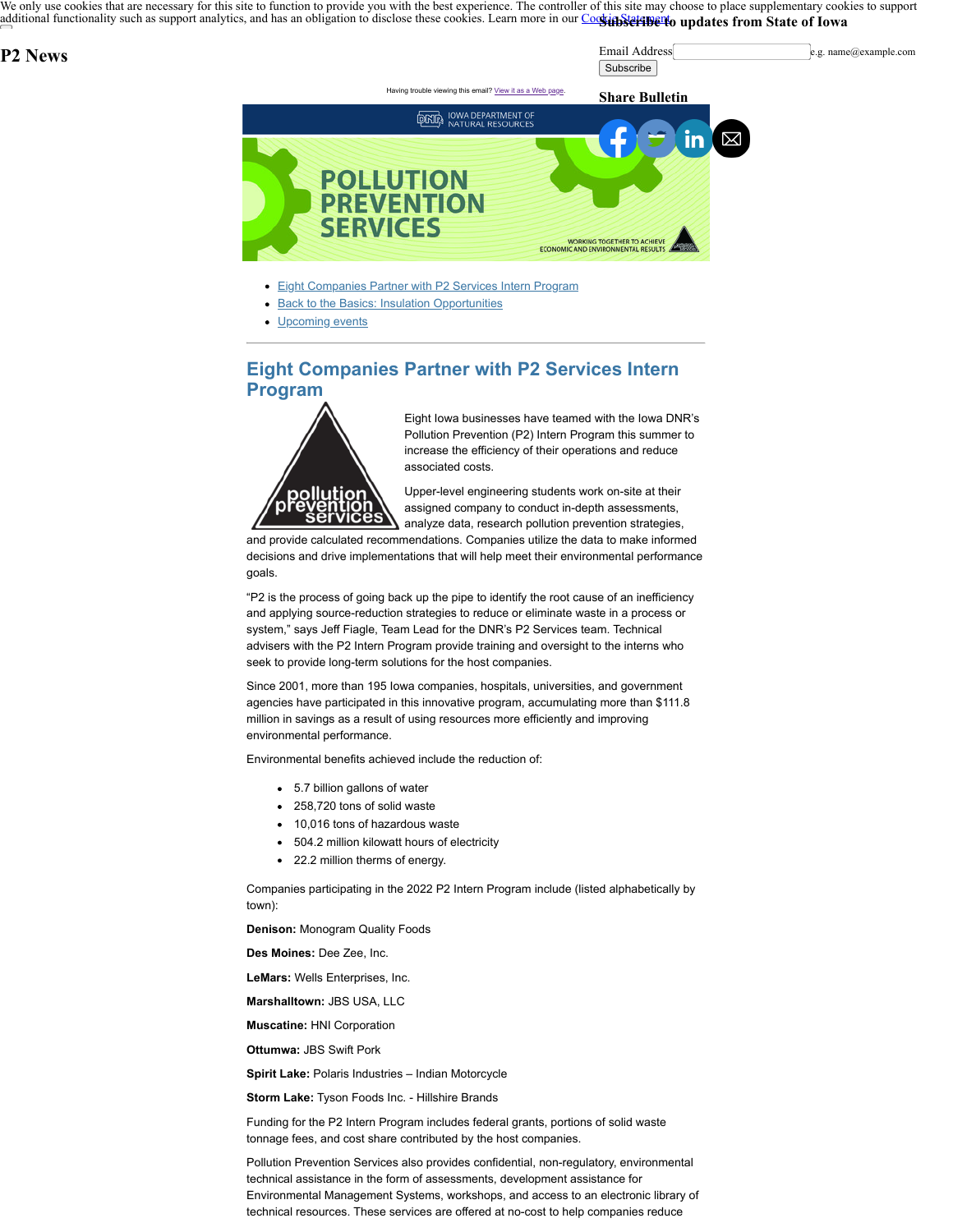We only use cookies that are necessary for this site to function to provide you with the best experience. The controller of this site may choose to place supplementary cookies to support [additional functionality such as support analytics, and has an obligation to disclose these cook](https://www.iowa.gov/)ies. Learn more in our *CoosinSteration* (updates from State of Iowa

## **P2 News**

Email Address e.g. name@example.com **Subscribe** 



- [Eight Companies Partner with P2 Services Intern Program](#page-0-0)
- **[Back to the Basics: Insulation Opportunities](#page-1-0)**
- [Upcoming events](#page-1-1)

## <span id="page-0-0"></span>**Eight Companies Partner with P2 Services Intern Program**



Eight Iowa businesses have teamed with the Iowa DNR's Pollution Prevention (P2) Intern Program this summer to increase the efficiency of their operations and reduce associated costs.

Upper-level engineering students work on-site at their assigned company to conduct in-depth assessments, analyze data, research pollution prevention strategies,

and provide calculated recommendations. Companies utilize the data to make informed decisions and drive implementations that will help meet their environmental performance goals.

"P2 is the process of going back up the pipe to identify the root cause of an inefficiency and applying source-reduction strategies to reduce or eliminate waste in a process or system," says Jeff Fiagle, Team Lead for the DNR's P2 Services team. Technical advisers with the P2 Intern Program provide training and oversight to the interns who seek to provide long-term solutions for the host companies.

Since 2001, more than 195 Iowa companies, hospitals, universities, and government agencies have participated in this innovative program, accumulating more than \$111.8 million in savings as a result of using resources more efficiently and improving environmental performance.

Environmental benefits achieved include the reduction of:

- 5.7 billion gallons of water
- 258,720 tons of solid waste
- 10,016 tons of hazardous waste
- 504.2 million kilowatt hours of electricity
- 22.2 million therms of energy.

Companies participating in the 2022 P2 Intern Program include (listed alphabetically by town):

**Denison:** Monogram Quality Foods

**Des Moines:** Dee Zee, Inc.

**LeMars:** Wells Enterprises, Inc.

**Marshalltown:** JBS USA, LLC

**Muscatine:** HNI Corporation

**Ottumwa:** JBS Swift Pork

**Spirit Lake:** Polaris Industries – Indian Motorcycle

**Storm Lake:** Tyson Foods Inc. - Hillshire Brands

Funding for the P2 Intern Program includes federal grants, portions of solid waste tonnage fees, and cost share contributed by the host companies.

Pollution Prevention Services also provides confidential, non-regulatory, environmental technical assistance in the form of assessments, development assistance for Environmental Management Systems, workshops, and access to an electronic library of technical resources. These services are offered at no-cost to help companies reduce